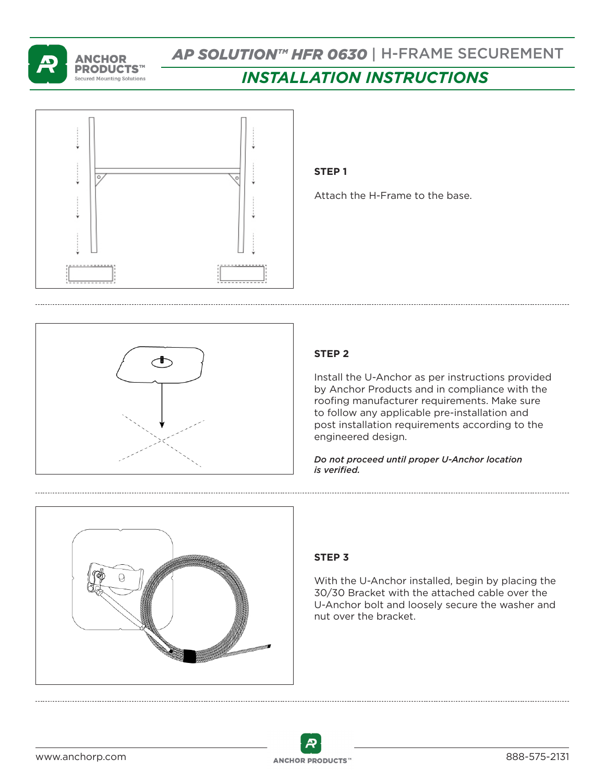

## *AP SOLUTION™ HFR 0630* | H-FRAME SECUREMENT

# *INSTALLATION INSTRUCTIONS*



#### **STEP 1**

Attach the H-Frame to the base.



## **STEP 2**

Install the U-Anchor as per instructions provided by Anchor Products and in compliance with the roofing manufacturer requirements. Make sure to follow any applicable pre-installation and post installation requirements according to the engineered design.

*Do not proceed until proper U-Anchor location is verified.*



## **STEP 3**

With the U-Anchor installed, begin by placing the 30/30 Bracket with the attached cable over the U-Anchor bolt and loosely secure the washer and nut over the bracket.